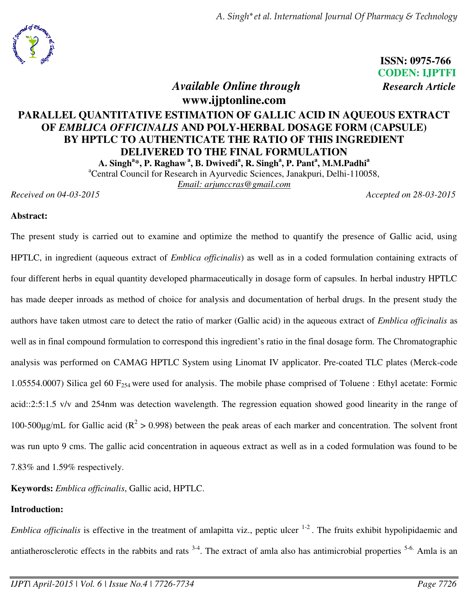*A. Singh\*et al. International Journal Of Pharmacy & Technology* 



**ISSN: 0975-766 CODEN: IJPTFI** 

*Available Online through Research Article* **www.ijptonline.com** 

# **PARALLEL QUANTITATIVE ESTIMATION OF GALLIC ACID IN AQUEOUS EXTRACT OF** *EMBLICA OFFICINALIS* **AND POLY-HERBAL DOSAGE FORM (CAPSULE) BY HPTLC TO AUTHENTICATE THE RATIO OF THIS INGREDIENT DELIVERED TO THE FINAL FORMULATION A. Singh<sup>a</sup> \*, P. Raghaw<sup>a</sup>, B. Dwivedi<sup>a</sup> , R. Singh<sup>a</sup> , P. Pant<sup>a</sup> , M.M.Padhi<sup>a</sup>**

<sup>a</sup>Central Council for Research in Ayurvedic Sciences, Janakpuri, Delhi-110058,

*Email: arjunccras@gmail.com*

*Received on 04-03-2015 Accepted on 28-03-2015*

### **Abstract:**

The present study is carried out to examine and optimize the method to quantify the presence of Gallic acid, using HPTLC, in ingredient (aqueous extract of *Emblica officinalis*) as well as in a coded formulation containing extracts of four different herbs in equal quantity developed pharmaceutically in dosage form of capsules. In herbal industry HPTLC has made deeper inroads as method of choice for analysis and documentation of herbal drugs. In the present study the authors have taken utmost care to detect the ratio of marker (Gallic acid) in the aqueous extract of *Emblica officinalis* as well as in final compound formulation to correspond this ingredient's ratio in the final dosage form. The Chromatographic analysis was performed on CAMAG HPTLC System using Linomat IV applicator. Pre-coated TLC plates (Merck-code 1.05554.0007) Silica gel 60  $F_{254}$  were used for analysis. The mobile phase comprised of Toluene : Ethyl acetate: Formic acid::2:5:1.5 v/v and 254nm was detection wavelength. The regression equation showed good linearity in the range of 100-500 $\mu$ g/mL for Gallic acid ( $R^2 > 0.998$ ) between the peak areas of each marker and concentration. The solvent front was run upto 9 cms. The gallic acid concentration in aqueous extract as well as in a coded formulation was found to be 7.83% and 1.59% respectively.

**Keywords:** *Emblica officinalis*, Gallic acid, HPTLC.

# **Introduction:**

*Emblica officinalis* is effective in the treatment of amlapitta viz., peptic ulcer <sup>1-2</sup>. The fruits exhibit hypolipidaemic and antiatherosclerotic effects in the rabbits and rats  $3-4$ . The extract of amla also has antimicrobial properties  $5-6$ . Amla is an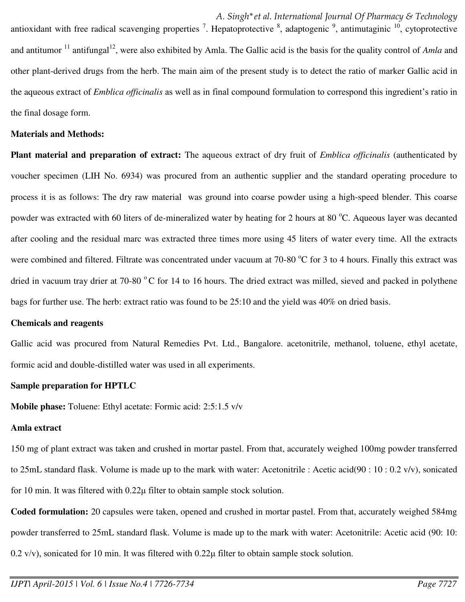antioxidant with free radical scavenging properties  $\frac{7}{1}$ . Hepatoprotective  $\frac{8}{1}$ , adaptogenic  $\frac{9}{1}$ , antimutaginic  $\frac{10}{1}$ , cytoprotective and antitumor <sup>11</sup> antifungal<sup>12</sup>, were also exhibited by Amla. The Gallic acid is the basis for the quality control of *Amla* and other plant-derived drugs from the herb. The main aim of the present study is to detect the ratio of marker Gallic acid in the aqueous extract of *Emblica officinalis* as well as in final compound formulation to correspond this ingredient's ratio in the final dosage form.

## **Materials and Methods:**

**Plant material and preparation of extract:** The aqueous extract of dry fruit of *Emblica officinalis* (authenticated by voucher specimen (LIH No. 6934) was procured from an authentic supplier and the standard operating procedure to process it is as follows: The dry raw material was ground into coarse powder using a high-speed blender. This coarse powder was extracted with 60 liters of de-mineralized water by heating for 2 hours at 80  $^{\circ}$ C. Aqueous layer was decanted after cooling and the residual marc was extracted three times more using 45 liters of water every time. All the extracts were combined and filtered. Filtrate was concentrated under vacuum at 70-80  $^{\circ}$ C for 3 to 4 hours. Finally this extract was dried in vacuum tray drier at  $70-80$  °C for 14 to 16 hours. The dried extract was milled, sieved and packed in polythene bags for further use. The herb: extract ratio was found to be 25:10 and the yield was 40% on dried basis.

#### **Chemicals and reagents**

Gallic acid was procured from [Natural Remedies Pvt. Ltd.,](https://www.google.co.in/url?sa=t&rct=j&q=&esrc=s&source=web&cd=1&cad=rja&uact=8&sqi=2&ved=0CCkQFjAA&url=http%3A%2F%2Fwww.naturalremedy.com%2F&ei=55ujVISaOovUoASo7ICoDg&usg=AFQjCNHkUkgq6FRjJp2XX0HD2l4S9oDeow&sig2=sxanHzoUZQMP1frxSbOKWg&bvm=bv.82001339,d.c2E) Bangalore. acetonitrile, methanol, toluene, ethyl acetate, formic acid and double-distilled water was used in all experiments.

#### **Sample preparation for HPTLC**

**Mobile phase:** Toluene: Ethyl acetate: Formic acid: 2:5:1.5 v/v

# **Amla extract**

150 mg of plant extract was taken and crushed in mortar pastel. From that, accurately weighed 100mg powder transferred to 25mL standard flask. Volume is made up to the mark with water: Acetonitrile : Acetic acid(90 : 10 : 0.2 v/v), sonicated for 10 min. It was filtered with 0.22μ filter to obtain sample stock solution.

**Coded formulation:** 20 capsules were taken, opened and crushed in mortar pastel. From that, accurately weighed 584mg powder transferred to 25mL standard flask. Volume is made up to the mark with water: Acetonitrile: Acetic acid (90: 10: 0.2 v/v), sonicated for 10 min. It was filtered with 0.22μ filter to obtain sample stock solution.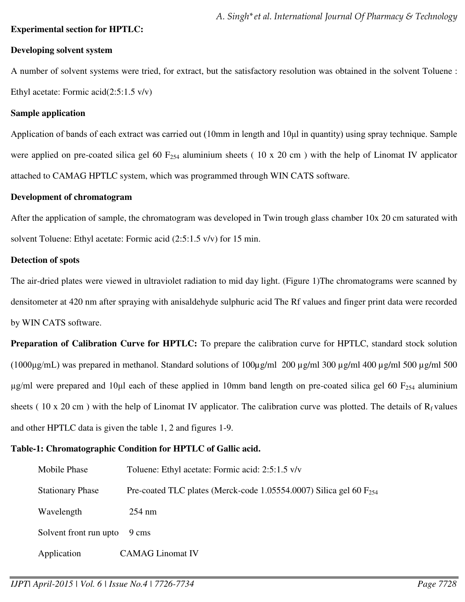### **Experimental section for HPTLC:**

### **Developing solvent system**

A number of solvent systems were tried, for extract, but the satisfactory resolution was obtained in the solvent Toluene : Ethyl acetate: Formic acid(2:5:1.5 v/v)

### **Sample application**

Application of bands of each extract was carried out (10mm in length and 10μl in quantity) using spray technique. Sample were applied on pre-coated silica gel 60  $F_{254}$  aluminium sheets (10 x 20 cm) with the help of Linomat IV applicator attached to CAMAG HPTLC system, which was programmed through WIN CATS software.

### **Development of chromatogram**

After the application of sample, the chromatogram was developed in Twin trough glass chamber 10x 20 cm saturated with solvent Toluene: Ethyl acetate: Formic acid (2:5:1.5 v/v) for 15 min.

## **Detection of spots**

The air-dried plates were viewed in ultraviolet radiation to mid day light. (Figure 1)The chromatograms were scanned by densitometer at 420 nm after spraying with anisaldehyde sulphuric acid The Rf values and finger print data were recorded by WIN CATS software.

**Preparation of Calibration Curve for HPTLC:** To prepare the calibration curve for HPTLC, standard stock solution (1000 $\mu$ g/mL) was prepared in methanol. Standard solutions of 100 $\mu$ g/ml 200  $\mu$ g/ml 300  $\mu$ g/ml 400  $\mu$ g/ml 500  $\mu$ g/ml 500  $\mu$ g/ml were prepared and 10 $\mu$ l each of these applied in 10mm band length on pre-coated silica gel 60 F<sub>254</sub> aluminium sheets ( $10 \times 20 \text{ cm}$ ) with the help of Linomat IV applicator. The calibration curve was plotted. The details of  $R_f$  values and other HPTLC data is given the table 1, 2 and figures 1-9.

# **Table-1: Chromatographic Condition for HPTLC of Gallic acid.**

| Mobile Phase            | Toluene: Ethyl acetate: Formic acid: 2:5:1.5 v/v                        |
|-------------------------|-------------------------------------------------------------------------|
| <b>Stationary Phase</b> | Pre-coated TLC plates (Merck-code 1.05554.0007) Silica gel 60 $F_{254}$ |
| Wavelength              | $254 \text{ nm}$                                                        |
| Solvent front run upto  | 9 cms                                                                   |
| Application             | <b>CAMAG Linomat IV</b>                                                 |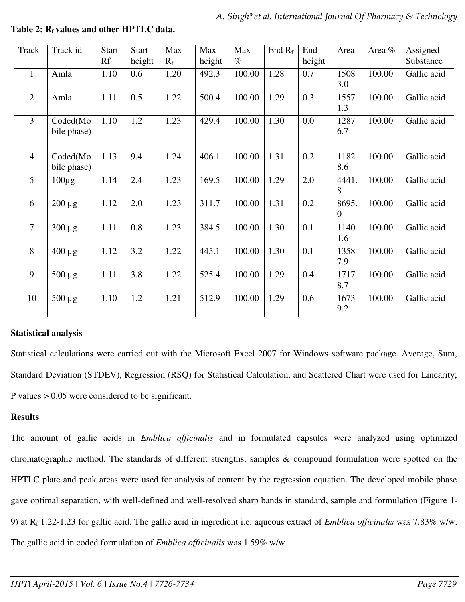| <b>Track</b>   | Track id                | <b>Start</b><br>Rf | <b>Start</b><br>height | Max<br>$R_f$ | Max<br>height | Max<br>$\%$ | End $R_f$ | End<br>height | Area              | Area % | Assigned<br>Substance |
|----------------|-------------------------|--------------------|------------------------|--------------|---------------|-------------|-----------|---------------|-------------------|--------|-----------------------|
| $\mathbf{1}$   | Amla                    | 1.10               | 0.6                    | 1.20         | 492.3         | 100.00      | 1.28      | 0.7           | 1508<br>3.0       | 100.00 | Gallic acid           |
| $\overline{2}$ | Amla                    | 1.11               | 0.5                    | 1.22         | 500.4         | 100.00      | 1.29      | 0.3           | 1557<br>1.3       | 100.00 | Gallic acid           |
| $\overline{3}$ | Coded(Mo<br>bile phase) | 1.10               | 1.2                    | 1.23         | 429.4         | 100.00      | 1.30      | 0.0           | 1287<br>6.7       | 100.00 | Gallic acid           |
| $\overline{4}$ | Coded(Mo<br>bile phase) | 1.13               | 9.4                    | 1.24         | 406.1         | 100.00      | 1.31      | 0.2           | 1182<br>8.6       | 100.00 | Gallic acid           |
| 5              | $100\mu$ g              | 1.14               | 2.4                    | 1.23         | 169.5         | 100.00      | 1.29      | 2.0           | 4441.<br>8        | 100.00 | Gallic acid           |
| 6              | $200 \mu g$             | 1.12               | 2.0                    | 1.23         | 311.7         | 100.00      | 1.31      | 0.2           | 8695.<br>$\theta$ | 100.00 | Gallic acid           |
| $\overline{7}$ | $300 \mu g$             | 1.11               | 0.8                    | 1.23         | 384.5         | 100.00      | 1.30      | 0.1           | 1140<br>1.6       | 100.00 | Gallic acid           |
| 8              | $400 \mu g$             | 1.12               | 3.2                    | 1.22         | 445.1         | 100.00      | 1.30      | 0.1           | 1358<br>7.9       | 100.00 | Gallic acid           |
| 9              | $500 \mu g$             | 1.11               | 3.8                    | 1.22         | 525.4         | 100.00      | 1.29      | 0.4           | 1717<br>8.7       | 100.00 | Gallic acid           |
| 10             | $500 \mu g$             | 1.10               | 1.2                    | 1.21         | 512.9         | 100.00      | 1.29      | 0.6           | 1673<br>9.2       | 100.00 | Gallic acid           |

**Table 2: Rf values and other HPTLC data.** 

# **Statistical analysis**

Statistical calculations were carried out with the Microsoft Excel 2007 for Windows software package. Average, Sum, Standard Deviation (STDEV), Regression (RSQ) for Statistical Calculation, and Scattered Chart were used for Linearity; P values > 0.05 were considered to be significant.

# **Results**

The amount of gallic acids in *Emblica officinalis* and in formulated capsules were analyzed using optimized chromatographic method. The standards of different strengths, samples & compound formulation were spotted on the HPTLC plate and peak areas were used for analysis of content by the regression equation. The developed mobile phase gave optimal separation, with well-defined and well-resolved sharp bands in standard, sample and formulation (Figure 1- 9) at R<sup>f</sup> 1.22-1.23 for gallic acid. The gallic acid in ingredient i.e. aqueous extract of *Emblica officinalis* was 7.83% w/w. The gallic acid in coded formulation of *Emblica officinalis* was 1.59% w/w.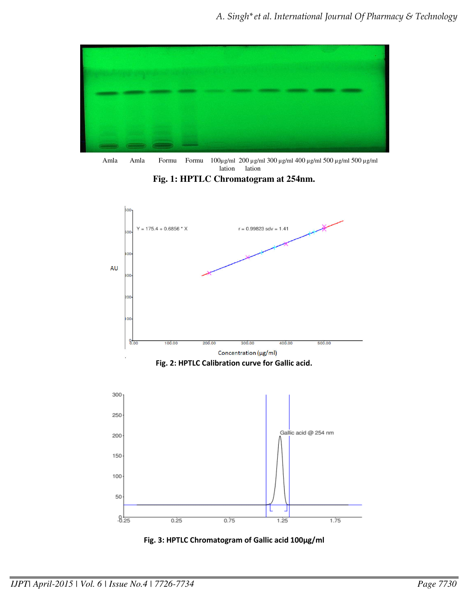

Amla Amla Formu Formu  $100\mu\text{g/ml}$  200  $\mu\text{g/ml}$  300  $\mu\text{g/ml}$  400  $\mu\text{g/ml}$  500  $\mu\text{g/ml}$  500  $\mu\text{g/ml}$ lation lation





**Fig. 3: HPTLC Chromatogram of Gallic acid 100µg/ml**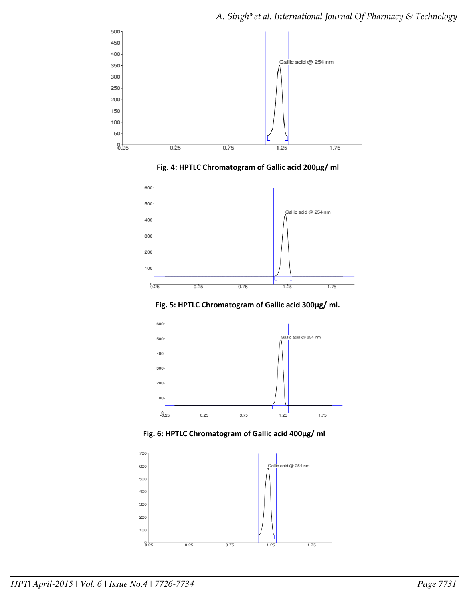

**Fig. 4: HPTLC Chromatogram of Gallic acid 200µg/ ml**



**Fig. 5: HPTLC Chromatogram of Gallic acid 300µg/ ml.** 



**Fig. 6: HPTLC Chromatogram of Gallic acid 400µg/ ml**

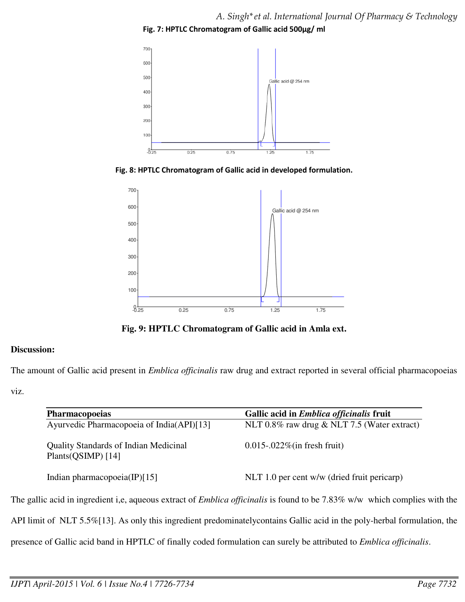

**Fig. 8: HPTLC Chromatogram of Gallic acid in developed formulation.** 



**Fig. 9: HPTLC Chromatogram of Gallic acid in Amla ext.** 

# **Discussion:**

The amount of Gallic acid present in *Emblica officinalis* raw drug and extract reported in several official pharmacopoeias viz.

| Ayurvedic Pharmacopoeia of India(API)[13]                              |                                             |
|------------------------------------------------------------------------|---------------------------------------------|
|                                                                        | NLT 0.8% raw drug & NLT 7.5 (Water extract) |
| <b>Quality Standards of Indian Medicinal</b><br>Plants( $QSIMP$ ) [14] | $0.015$ -.022%(in fresh fruit)              |
| Indian pharmacopoeia $(\text{IP})$ [15]                                | NLT 1.0 per cent w/w (dried fruit pericarp) |

API limit of NLT 5.5%[13]. As only this ingredient predominatelycontains Gallic acid in the poly-herbal formulation, the

presence of Gallic acid band in HPTLC of finally coded formulation can surely be attributed to *Emblica officinalis*.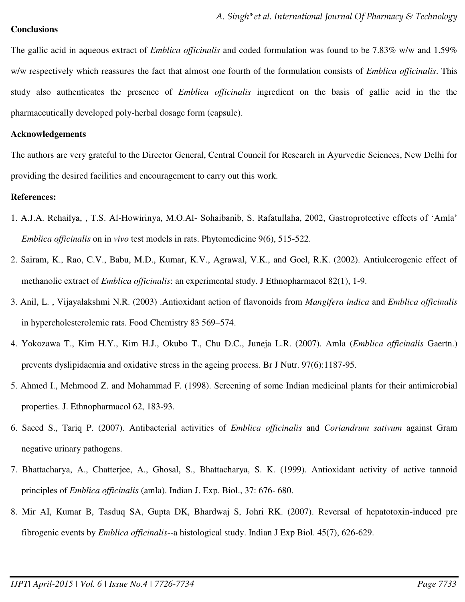### **Conclusions**

The gallic acid in aqueous extract of *Emblica officinalis* and coded formulation was found to be 7.83% w/w and 1.59% w/w respectively which reassures the fact that almost one fourth of the formulation consists of *Emblica officinalis*. This study also authenticates the presence of *Emblica officinalis* ingredient on the basis of gallic acid in the the pharmaceutically developed poly-herbal dosage form (capsule).

#### **Acknowledgements**

The authors are very grateful to the Director General, Central Council for Research in Ayurvedic Sciences, New Delhi for providing the desired facilities and encouragement to carry out this work.

## **References:**

- 1. A.J.A. Rehailya, , T.S. Al-Howirinya, M.O.Al- Sohaibanib, S. Rafatullaha, 2002, Gastroproteetive effects of 'Amla' *Emblica officinalis* on in *vivo* test models in rats. Phytomedicine 9(6), 515-522.
- 2. Sairam, K., Rao, C.V., Babu, M.D., Kumar, K.V., Agrawal, V.K., and Goel, R.K. (2002). Antiulcerogenic effect of methanolic extract of *Emblica officinalis*: an experimental study. J Ethnopharmacol 82(1), 1-9.
- 3. Anil, L. , Vijayalakshmi N.R. (2003) .Antioxidant action of flavonoids from *Mangifera indica* and *Emblica officinalis*  in hypercholesterolemic rats. Food Chemistry 83 569–574.
- 4. Yokozawa T., Kim H.Y., Kim H.J., Okubo T., Chu D.C., Juneja L.R. (2007). Amla (*Emblica officinalis* Gaertn.) prevents dyslipidaemia and oxidative stress in the ageing process. Br J Nutr. 97(6):1187-95.
- 5. Ahmed I., Mehmood Z. and Mohammad F. (1998). Screening of some Indian medicinal plants for their antimicrobial properties. J. Ethnopharmacol 62, 183-93.
- 6. Saeed S., Tariq P. (2007). Antibacterial activities of *Emblica officinalis* and *Coriandrum sativum* against Gram negative urinary pathogens.
- 7. Bhattacharya, A., Chatterjee, A., Ghosal, S., Bhattacharya, S. K. (1999). Antioxidant activity of active tannoid principles of *Emblica officinalis* (amla). Indian J. Exp. Biol., 37: 676- 680.
- 8. Mir AI, Kumar B, Tasduq SA, Gupta DK, Bhardwaj S, Johri RK. (2007). Reversal of hepatotoxin-induced pre fibrogenic events by *Emblica officinalis*--a histological study. Indian J Exp Biol. 45(7), 626-629.